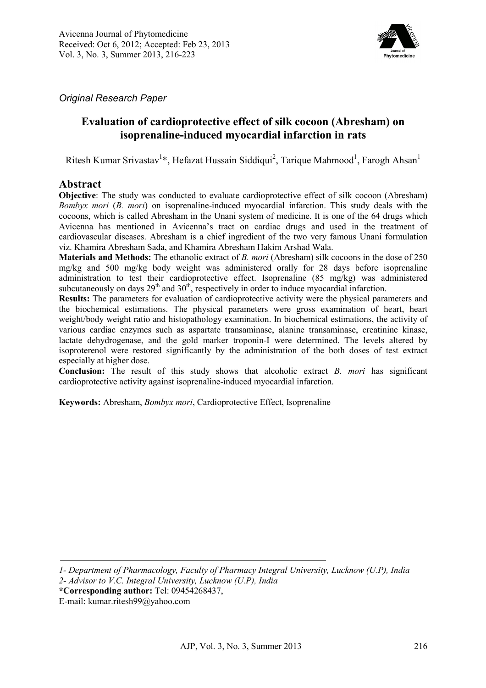

*Original Research Paper*

# **Evaluation of cardioprotective effect of silk cocoon (Abresham) on isoprenaline-induced myocardial infarction in rats**

Ritesh Kumar Srivastav<sup>1\*</sup>, Hefazat Hussain Siddiqui<sup>2</sup>, Tarique Mahmood<sup>1</sup>, Farogh Ahsan<sup>1</sup>

## **Abstract**

**Objective**: The study was conducted to evaluate cardioprotective effect of silk cocoon (Abresham) *Bombyx mori* (*B. mori*) on isoprenaline-induced myocardial infarction. This study deals with the cocoons, which is called Abresham in the Unani system of medicine. It is one of the 64 drugs which Avicenna has mentioned in Avicenna's tract on cardiac drugs and used in the treatment of cardiovascular diseases. Abresham is a chief ingredient of the two very famous Unani formulation viz. Khamira Abresham Sada, and Khamira Abresham Hakim Arshad Wala.

**Materials and Methods:** The ethanolic extract of *B. mori* (Abresham) silk cocoons in the dose of 250 mg/kg and 500 mg/kg body weight was administered orally for 28 days before isoprenaline administration to test their cardioprotective effect. Isoprenaline (85 mg/kg) was administered subcutaneously on days  $29<sup>th</sup>$  and  $30<sup>th</sup>$ , respectively in order to induce myocardial infarction.

**Results:** The parameters for evaluation of cardioprotective activity were the physical parameters and the biochemical estimations. The physical parameters were gross examination of heart, heart weight/body weight ratio and histopathology examination. In biochemical estimations, the activity of various cardiac enzymes such as aspartate transaminase, alanine transaminase, creatinine kinase, lactate dehydrogenase, and the gold marker troponin-I were determined. The levels altered by isoproterenol were restored significantly by the administration of the both doses of test extract especially at higher dose.

**Conclusion:** The result of this study shows that alcoholic extract *B. mori* has significant cardioprotective activity against isoprenaline-induced myocardial infarction.

**Keywords:** Abresham, *Bombyx mori*, Cardioprotective Effect, Isoprenaline

*1- Department of Pharmacology, Faculty of Pharmacy Integral University, Lucknow (U.P), India 2- Advisor to V.C. Integral University, Lucknow (U.P), India* 

**\*Corresponding author:** Tel: 09454268437,

E-mail: kumar.ritesh99@yahoo.com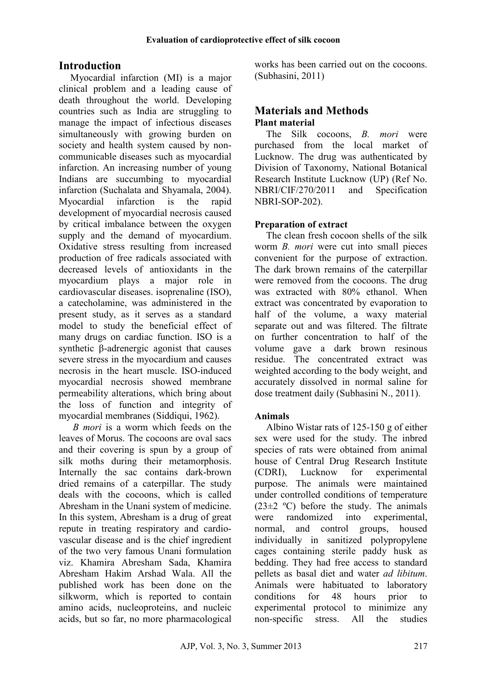# **Introduction**

Myocardial infarction (MI) is a major clinical problem and a leading cause of death throughout the world. Developing countries such as India are struggling to manage the impact of infectious diseases simultaneously with growing burden on society and health system caused by noncommunicable diseases such as myocardial infarction. An increasing number of young Indians are succumbing to myocardial infarction (Suchalata and Shyamala, 2004). Myocardial infarction is the rapid development of myocardial necrosis caused by critical imbalance between the oxygen supply and the demand of myocardium. Oxidative stress resulting from increased production of free radicals associated with decreased levels of antioxidants in the myocardium plays a major role in cardiovascular diseases. isoprenaline (ISO), a catecholamine, was administered in the present study, as it serves as a standard model to study the beneficial effect of many drugs on cardiac function. ISO is a synthetic β-adrenergic agonist that causes severe stress in the myocardium and causes necrosis in the heart muscle. ISO-induced myocardial necrosis showed membrane permeability alterations, which bring about the loss of function and integrity of myocardial membranes (Siddiqui, 1962).

 *B mori* is a worm which feeds on the leaves of Morus. The cocoons are oval sacs and their covering is spun by a group of silk moths during their metamorphosis. Internally the sac contains dark-brown dried remains of a caterpillar. The study deals with the cocoons, which is called Abresham in the Unani system of medicine. In this system, Abresham is a drug of great repute in treating respiratory and cardiovascular disease and is the chief ingredient of the two very famous Unani formulation viz. Khamira Abresham Sada, Khamira Abresham Hakim Arshad Wala. All the published work has been done on the silkworm, which is reported to contain amino acids, nucleoproteins, and nucleic acids, but so far, no more pharmacological

works has been carried out on the cocoons. (Subhasini, 2011)

## **Materials and Methods Plant material**

The Silk cocoons, *B. mori* were purchased from the local market of Lucknow. The drug was authenticated by Division of Taxonomy, National Botanical Research Institute Lucknow (UP) (Ref No. NBRI/CIF/270/2011 and Specification NBRI-SOP-202).

## **Preparation of extract**

The clean fresh cocoon shells of the silk worm *B. mori* were cut into small pieces convenient for the purpose of extraction. The dark brown remains of the caterpillar were removed from the cocoons. The drug was extracted with 80% ethanol. When extract was concentrated by evaporation to half of the volume, a waxy material separate out and was filtered. The filtrate on further concentration to half of the volume gave a dark brown resinous residue. The concentrated extract was weighted according to the body weight, and accurately dissolved in normal saline for dose treatment daily (Subhasini N., 2011).

## **Animals**

Albino Wistar rats of 125-150 g of either sex were used for the study. The inbred species of rats were obtained from animal house of Central Drug Research Institute (CDRI), Lucknow for experimental purpose. The animals were maintained under controlled conditions of temperature  $(23\pm2 \degree C)$  before the study. The animals were randomized into experimental, normal, and control groups, housed individually in sanitized polypropylene cages containing sterile paddy husk as bedding. They had free access to standard pellets as basal diet and water *ad libitum*. Animals were habituated to laboratory conditions for 48 hours prior to experimental protocol to minimize any non-specific stress. All the studies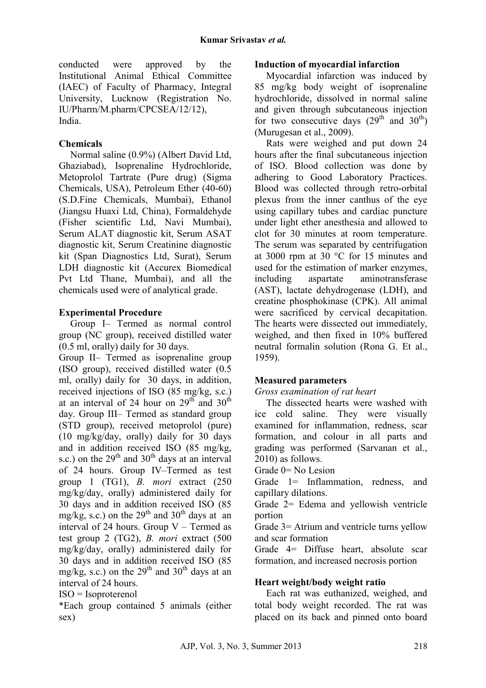conducted were approved by the Institutional Animal Ethical Committee (IAEC) of Faculty of Pharmacy, Integral University, Lucknow (Registration No. IU/Pharm/M.pharm/CPCSEA/12/12), India.

## **Chemicals**

Normal saline (0.9%) (Albert David Ltd, Ghaziabad), Isoprenaline Hydrochloride, Metoprolol Tartrate (Pure drug) (Sigma Chemicals, USA), Petroleum Ether (40-60) (S.D.Fine Chemicals, Mumbai), Ethanol (Jiangsu Huaxi Ltd, China), Formaldehyde (Fisher scientific Ltd, Navi Mumbai), Serum ALAT diagnostic kit, Serum ASAT diagnostic kit, Serum Creatinine diagnostic kit (Span Diagnostics Ltd, Surat), Serum LDH diagnostic kit (Accurex Biomedical Pvt Ltd Thane, Mumbai), and all the chemicals used were of analytical grade.

## **Experimental Procedure**

Group I– Termed as normal control group (NC group), received distilled water (0.5 ml, orally) daily for 30 days.

Group II– Termed as isoprenaline group (ISO group), received distilled water (0.5 ml, orally) daily for 30 days, in addition, received injections of ISO (85 mg/kg, s.c.) at an interval of 24 hour on  $29<sup>th</sup>$  and  $30<sup>th</sup>$ day. Group III– Termed as standard group (STD group), received metoprolol (pure) (10 mg/kg/day, orally) daily for 30 days and in addition received ISO (85 mg/kg, s.c.) on the  $29<sup>th</sup>$  and  $30<sup>th</sup>$  days at an interval of 24 hours. Group IV–Termed as test group 1 (TG1), *B. mori* extract (250 mg/kg/day, orally) administered daily for 30 days and in addition received ISO (85 mg/kg, s.c.) on the  $29<sup>th</sup>$  and  $30<sup>th</sup>$  days at an interval of 24 hours. Group  $V -$  Termed as test group 2 (TG2), *B. mori* extract (500 mg/kg/day, orally) administered daily for 30 days and in addition received ISO (85 mg/kg, s.c.) on the  $29<sup>th</sup>$  and  $30<sup>th</sup>$  days at an interval of 24 hours.

ISO = Isoproterenol

\*Each group contained 5 animals (either sex)

### **Induction of myocardial infarction**

Myocardial infarction was induced by 85 mg/kg body weight of isoprenaline hydrochloride, dissolved in normal saline and given through subcutaneous injection for two consecutive days  $(29<sup>th</sup>$  and  $30<sup>th</sup>)$ (Murugesan et al., 2009).

Rats were weighed and put down 24 hours after the final subcutaneous injection of ISO. Blood collection was done by adhering to Good Laboratory Practices. Blood was collected through retro-orbital plexus from the inner canthus of the eye using capillary tubes and cardiac puncture under light ether anesthesia and allowed to clot for 30 minutes at room temperature. The serum was separated by centrifugation at 3000 rpm at 30 °C for 15 minutes and used for the estimation of marker enzymes, including aspartate aminotransferase (AST), lactate dehydrogenase (LDH), and creatine phosphokinase (CPK). All animal were sacrificed by cervical decapitation. The hearts were dissected out immediately, weighed, and then fixed in 10% buffered neutral formalin solution (Rona G. Et al., 1959).

## **Measured parameters**

*Gross examination of rat heart* 

The dissected hearts were washed with ice cold saline. They were visually examined for inflammation, redness, scar formation, and colour in all parts and grading was performed (Sarvanan et al., 2010) as follows.

Grade 0= No Lesion

Grade  $1=$  Inflammation, redness, and capillary dilations.

Grade 2= Edema and yellowish ventricle portion

Grade 3= Atrium and ventricle turns yellow and scar formation

Grade 4= Diffuse heart, absolute scar formation, and increased necrosis portion

## **Heart weight/body weight ratio**

Each rat was euthanized, weighed, and total body weight recorded. The rat was placed on its back and pinned onto board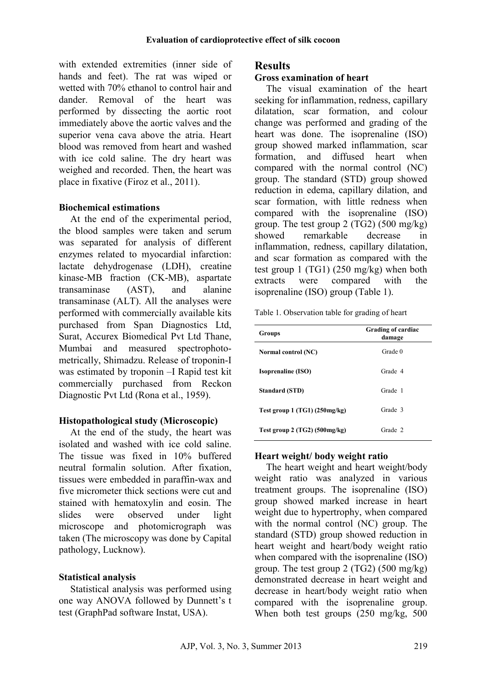with extended extremities (inner side of hands and feet). The rat was wiped or wetted with 70% ethanol to control hair and dander. Removal of the heart was performed by dissecting the aortic root immediately above the aortic valves and the superior vena cava above the atria. Heart blood was removed from heart and washed with ice cold saline. The dry heart was weighed and recorded. Then, the heart was place in fixative (Firoz et al., 2011).

#### **Biochemical estimations**

At the end of the experimental period, the blood samples were taken and serum was separated for analysis of different enzymes related to myocardial infarction: lactate dehydrogenase (LDH), creatine kinase-MB fraction (CK-MB), aspartate transaminase (AST), and alanine transaminase (ALT). All the analyses were performed with commercially available kits purchased from Span Diagnostics Ltd, Surat, Accurex Biomedical Pvt Ltd Thane, Mumbai and measured spectrophotometrically, Shimadzu. Release of troponin-I was estimated by troponin –I Rapid test kit commercially purchased from Reckon Diagnostic Pvt Ltd (Rona et al., 1959).

## **Histopathological study (Microscopic)**

At the end of the study, the heart was isolated and washed with ice cold saline. The tissue was fixed in 10% buffered neutral formalin solution. After fixation, tissues were embedded in paraffin-wax and five micrometer thick sections were cut and stained with hematoxylin and eosin. The slides were observed under light microscope and photomicrograph was taken (The microscopy was done by Capital pathology, Lucknow).

#### **Statistical analysis**

Statistical analysis was performed using one way ANOVA followed by Dunnett's t test (GraphPad software Instat, USA).

### **Results**

#### **Gross examination of heart**

The visual examination of the heart seeking for inflammation, redness, capillary dilatation, scar formation, and colour change was performed and grading of the heart was done. The isoprenaline (ISO) group showed marked inflammation, scar formation, and diffused heart when compared with the normal control (NC) group. The standard (STD) group showed reduction in edema, capillary dilation, and scar formation, with little redness when compared with the isoprenaline (ISO) group. The test group 2 (TG2) (500 mg/kg) showed remarkable decrease in inflammation, redness, capillary dilatation, and scar formation as compared with the test group 1 (TG1) (250 mg/kg) when both extracts were compared with the isoprenaline (ISO) group (Table 1).

Table 1. Observation table for grading of heart

| Groups                          | Grading of cardiac<br>damage |
|---------------------------------|------------------------------|
| Normal control (NC)             | Grade 0                      |
| <b>Isoprenaline</b> (ISO)       | Grade 4                      |
| <b>Standard (STD)</b>           | Grade 1                      |
| Test group $1$ (TG1) (250mg/kg) | Grade 3                      |
| Test group 2 $(TG2)$ (500mg/kg) | Grade 2                      |

## **Heart weight/ body weight ratio**

The heart weight and heart weight/body weight ratio was analyzed in various treatment groups. The isoprenaline (ISO) group showed marked increase in heart weight due to hypertrophy, when compared with the normal control (NC) group. The standard (STD) group showed reduction in heart weight and heart/body weight ratio when compared with the isoprenaline (ISO) group. The test group  $2 (TG2) (500 \text{ mg/kg})$ demonstrated decrease in heart weight and decrease in heart/body weight ratio when compared with the isoprenaline group. When both test groups (250 mg/kg, 500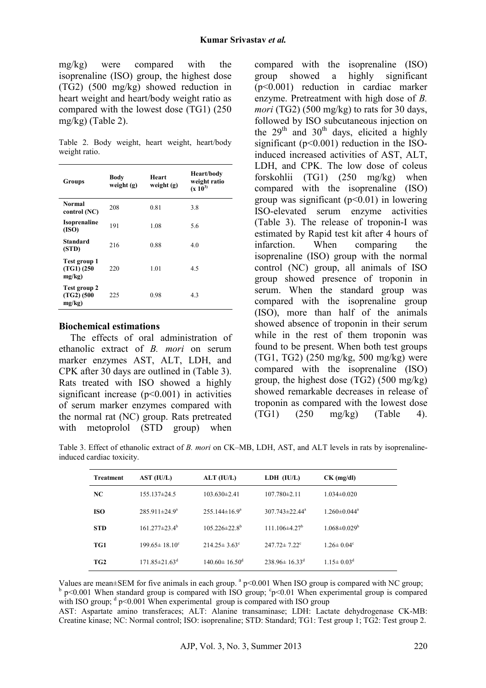mg/kg) were compared with the isoprenaline (ISO) group, the highest dose (TG2) (500 mg/kg) showed reduction in heart weight and heart/body weight ratio as compared with the lowest dose (TG1) (250 mg/kg) (Table 2).

Table 2. Body weight, heart weight, heart/body weight ratio.

| Groups                                  | Body<br>weight $(g)$ | Heart<br>weight $(g)$ | Heart/body<br>weight ratio<br>$(x 10^{3})$ |
|-----------------------------------------|----------------------|-----------------------|--------------------------------------------|
| Normal<br>control (NC)                  | 208                  | 0.81                  | 3.8                                        |
| <b>Isoprenaline</b><br>(ISO)            | 191                  | 1.08                  | 5.6                                        |
| Standard<br>(STD)                       | 216                  | 0.88                  | 4.0                                        |
| Test group 1<br>$(TG1)$ (250)<br>mg/kg) | 220                  | 1.01                  | 4.5                                        |
| Test group 2<br>$(TG2)$ (500<br>mg/kg)  | 225                  | 0.98                  | 4.3                                        |

#### **Biochemical estimations**

The effects of oral administration of ethanolic extract of *B. mori* on serum marker enzymes AST, ALT, LDH, and CPK after 30 days are outlined in (Table 3). Rats treated with ISO showed a highly significant increase  $(p<0.001)$  in activities of serum marker enzymes compared with the normal rat (NC) group. Rats pretreated with metoprolol (STD group) when

compared with the isoprenaline (ISO) group showed a highly significant (p<0.001) reduction in cardiac marker enzyme. Pretreatment with high dose of *B. mori* (TG2) (500 mg/kg) to rats for 30 days, followed by ISO subcutaneous injection on the  $29<sup>th</sup>$  and  $30<sup>th</sup>$  days, elicited a highly significant  $(p<0.001)$  reduction in the ISOinduced increased activities of AST, ALT, LDH, and CPK. The low dose of coleus forskohlii (TG1) (250 mg/kg) when compared with the isoprenaline (ISO) group was significant  $(p<0.01)$  in lowering ISO-elevated serum enzyme activities (Table 3). The release of troponin-I was estimated by Rapid test kit after 4 hours of infarction. When comparing the isoprenaline (ISO) group with the normal control (NC) group, all animals of ISO group showed presence of troponin in serum. When the standard group was compared with the isoprenaline group (ISO), more than half of the animals showed absence of troponin in their serum while in the rest of them troponin was found to be present. When both test groups (TG1, TG2) (250 mg/kg, 500 mg/kg) were compared with the isoprenaline (ISO) group, the highest dose (TG2) (500 mg/kg) showed remarkable decreases in release of troponin as compared with the lowest dose (TG1) (250 mg/kg) (Table 4).

Table 3. Effect of ethanolic extract of *B. mori* on CK–MB, LDH, AST, and ALT levels in rats by isoprenalineinduced cardiac toxicity.

| <b>Treatment</b> | AST (IU/L)                      | ALT (IU/L)                      | $LDH$ $(IU/L)$                  | $CK$ (mg/dl)                   |
|------------------|---------------------------------|---------------------------------|---------------------------------|--------------------------------|
| NC               | $155.137\pm24.5$                | $103.630 \pm 2.41$              | $107.780 \pm 2.11$              | $1.034 \pm 0.020$              |
| <b>ISO</b>       | $285.911 \pm 24.9^{\circ}$      | $255.144 \pm 16.9^a$            | $307.743 \pm 22.44^a$           | $1.260 \pm 0.044$ <sup>a</sup> |
| <b>STD</b>       | $161.277 \pm 23.4^{\circ}$      | $105.226 \pm 22.8^{\circ}$      | 111.106 $\pm$ 4.27 <sup>b</sup> | $1.068 \pm 0.029^b$            |
| TG1              | $199.65 \pm 18.10^{\circ}$      | $214.25 \pm 3.63$ °             | $247.72 \pm 7.22$ <sup>c</sup>  | $1.26 \pm 0.04$ <sup>c</sup>   |
| TG <sub>2</sub>  | $171.85 \pm 21.63$ <sup>d</sup> | $140.60 \pm 16.50$ <sup>d</sup> | $238.96 \pm 16.33$ <sup>d</sup> | $1.15 \pm 0.03^d$              |

Values are mean $\pm$ SEM for five animals in each group.  $a$  p<0.001 When ISO group is compared with NC group;  $\mu$  p<0.001 When standard group is compared with ISO group;  $\mu$ °p<0.01 When experimental group is compared with ISO group;  $\textdegree$  p<0.001 When experimental group is compared with ISO group

AST: Aspartate amino transferaces; ALT: Alanine transaminase; LDH: Lactate dehydrogenase CK-MB: Creatine kinase; NC: Normal control; ISO: isoprenaline; STD: Standard; TG1: Test group 1; TG2: Test group 2.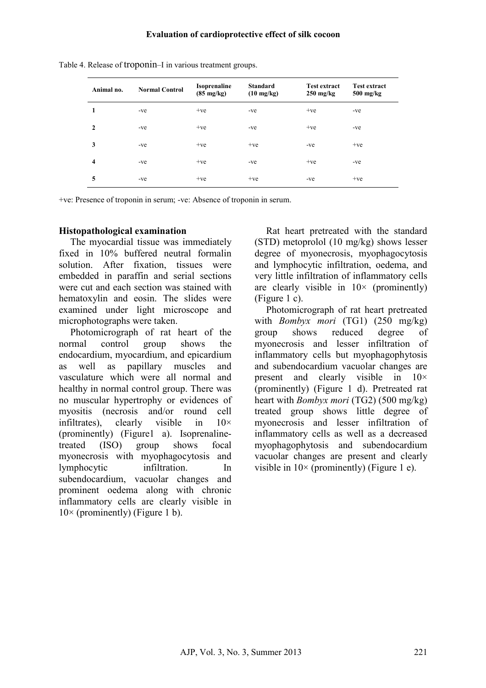| Animal no.   | <b>Normal Control</b> | <b>Isoprenaline</b><br>$(85 \text{ mg/kg})$ | <b>Standard</b><br>$(10 \text{ mg/kg})$ | <b>Test extract</b><br>$250 \text{ mg/kg}$ | <b>Test extract</b><br>$500$ mg/kg |
|--------------|-----------------------|---------------------------------------------|-----------------------------------------|--------------------------------------------|------------------------------------|
| 1            | -ve                   | $+ve$                                       | -ve                                     | $+ve$                                      | $-ve$                              |
| $\mathbf{2}$ | -ve                   | $+ve$                                       | -ve                                     | $+ve$                                      | $-ve$                              |
| 3            | $-ve$                 | $+ve$                                       | $+ve$                                   | $-ve$                                      | $+ve$                              |
| 4            | $-ve$                 | $+ve$                                       | -ve                                     | $+ve$                                      | $-ve$                              |
| 5            | -ve                   | $+ve$                                       | $+ve$                                   | $-ve$                                      | $+ve$                              |

Table 4. Release of troponin–I in various treatment groups.

+ve: Presence of troponin in serum; -ve: Absence of troponin in serum.

#### **Histopathological examination**

The myocardial tissue was immediately fixed in 10% buffered neutral formalin solution. After fixation tissues were embedded in paraffin and serial sections were cut and each section was stained with hematoxylin and eosin. The slides were examined under light microscope and microphotographs were taken.

Photomicrograph of rat heart of the normal control group shows the endocardium, myocardium, and epicardium as well as papillary muscles and vasculature which were all normal and healthy in normal control group. There was no muscular hypertrophy or evidences of myositis (necrosis and/or round cell infiltrates), clearly visible in  $10 \times$ (prominently) (Figure1 a). Isoprenalinetreated (ISO) group shows focal myonecrosis with myophagocytosis and lymphocytic infiltration. In subendocardium, vacuolar changes and prominent oedema along with chronic inflammatory cells are clearly visible in  $10\times$  (prominently) (Figure 1 b).

Rat heart pretreated with the standard (STD) metoprolol (10 mg/kg) shows lesser degree of myonecrosis, myophagocytosis and lymphocytic infiltration, oedema, and very little infiltration of inflammatory cells are clearly visible in  $10 \times$  (prominently) (Figure 1 c).

Photomicrograph of rat heart pretreated with *Bombyx mori* (TG1) (250 mg/kg) group shows reduced degree of myonecrosis and lesser infiltration of inflammatory cells but myophagophytosis and subendocardium vacuolar changes are present and clearly visible in  $10\times$ (prominently) (Figure 1 d). Pretreated rat heart with *Bombyx mori* (TG2) (500 mg/kg) treated group shows little degree of myonecrosis and lesser infiltration of inflammatory cells as well as a decreased myophagophytosis and subendocardium vacuolar changes are present and clearly visible in  $10 \times$  (prominently) (Figure 1 e).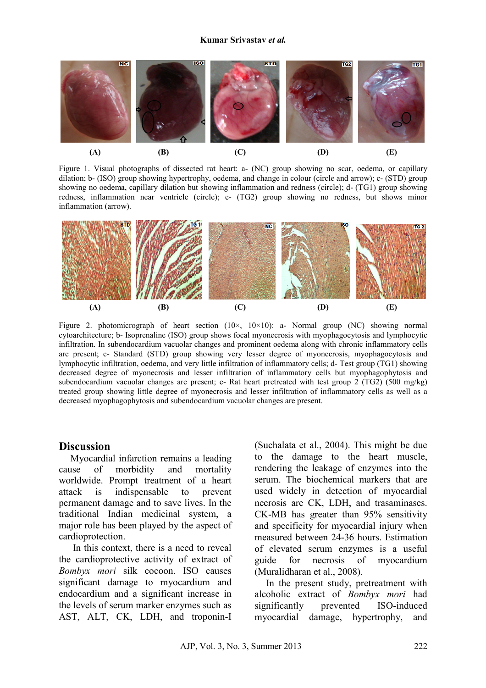#### **Kumar Srivastav** *et al.*



Figure 1. Visual photographs of dissected rat heart: a- (NC) group showing no scar, oedema, or capillary dilation; b- (ISO) group showing hypertrophy, oedema, and change in colour (circle and arrow); c- (STD) group showing no oedema, capillary dilation but showing inflammation and redness (circle); d- (TG1) group showing redness, inflammation near ventricle (circle); e- (TG2) group showing no redness, but shows minor inflammation (arrow).



Figure 2. photomicrograph of heart section  $(10\times, 10\times10)$ : a- Normal group (NC) showing normal cytoarchitecture; b- Isoprenaline (ISO) group shows focal myonecrosis with myophagocytosis and lymphocytic infiltration. In subendocardium vacuolar changes and prominent oedema along with chronic inflammatory cells are present; c- Standard (STD) group showing very lesser degree of myonecrosis, myophagocytosis and lymphocytic infiltration, oedema, and very little infiltration of inflammatory cells; d- Test group (TG1) showing decreased degree of myonecrosis and lesser infiltration of inflammatory cells but myophagophytosis and subendocardium vacuolar changes are present; e- Rat heart pretreated with test group 2 (TG2) (500 mg/kg) treated group showing little degree of myonecrosis and lesser infiltration of inflammatory cells as well as a decreased myophagophytosis and subendocardium vacuolar changes are present.

#### **Discussion**

Myocardial infarction remains a leading cause of morbidity and mortality worldwide. Prompt treatment of a heart attack is indispensable to prevent permanent damage and to save lives. In the traditional Indian medicinal system, a major role has been played by the aspect of cardioprotection.

 In this context, there is a need to reveal the cardioprotective activity of extract of *Bombyx mori* silk cocoon. ISO causes significant damage to myocardium and endocardium and a significant increase in the levels of serum marker enzymes such as AST, ALT, CK, LDH, and troponin-I

(Suchalata et al., 2004). This might be due to the damage to the heart muscle, rendering the leakage of enzymes into the serum. The biochemical markers that are used widely in detection of myocardial necrosis are CK, LDH, and trasaminases. CK-MB has greater than 95% sensitivity and specificity for myocardial injury when measured between 24-36 hours. Estimation of elevated serum enzymes is a useful guide for necrosis of myocardium (Muralidharan et al., 2008).

In the present study, pretreatment with alcoholic extract of *Bombyx mori* had significantly prevented ISO-induced myocardial damage, hypertrophy, and